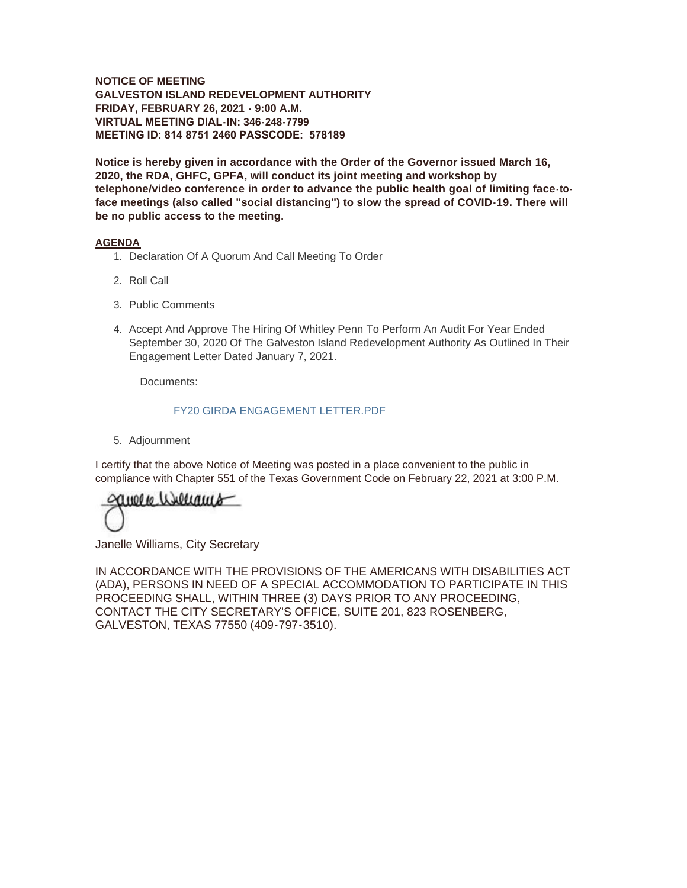**NOTICE OF MEETING GALVESTON ISLAND REDEVELOPMENT AUTHORITY FRIDAY, FEBRUARY 26, 2021 - 9:00 A.M. VIRTUAL MEETING DIAL-IN: 346-248-7799 MEETING ID: 814 8751 2460 PASSCODE: 578189**

**Notice is hereby given in accordance with the Order of the Governor issued March 16, 2020, the RDA, GHFC, GPFA, will conduct its joint meeting and workshop by telephone/video conference in order to advance the public health goal of limiting face-toface meetings (also called "social distancing") to slow the spread of COVID-19. There will be no public access to the meeting.** 

#### **AGENDA**

- 1. Declaration Of A Quorum And Call Meeting To Order
- 2. Roll Call
- 3. Public Comments
- 4. Accept And Approve The Hiring Of Whitley Penn To Perform An Audit For Year Ended September 30, 2020 Of The Galveston Island Redevelopment Authority As Outlined In Their Engagement Letter Dated January 7, 2021.

Documents:

#### FY20 GIRDA ENGAGEMENT LETTER.PDF

5. Adjournment

I certify that the above Notice of Meeting was posted in a place convenient to the public in compliance with Chapter 551 of the Texas Government Code on February 22, 2021 at 3:00 P.M.

anore wellams

Janelle Williams, City Secretary

IN ACCORDANCE WITH THE PROVISIONS OF THE AMERICANS WITH DISABILITIES ACT (ADA), PERSONS IN NEED OF A SPECIAL ACCOMMODATION TO PARTICIPATE IN THIS PROCEEDING SHALL, WITHIN THREE (3) DAYS PRIOR TO ANY PROCEEDING, CONTACT THE CITY SECRETARY'S OFFICE, SUITE 201, 823 ROSENBERG, GALVESTON, TEXAS 77550 (409-797-3510).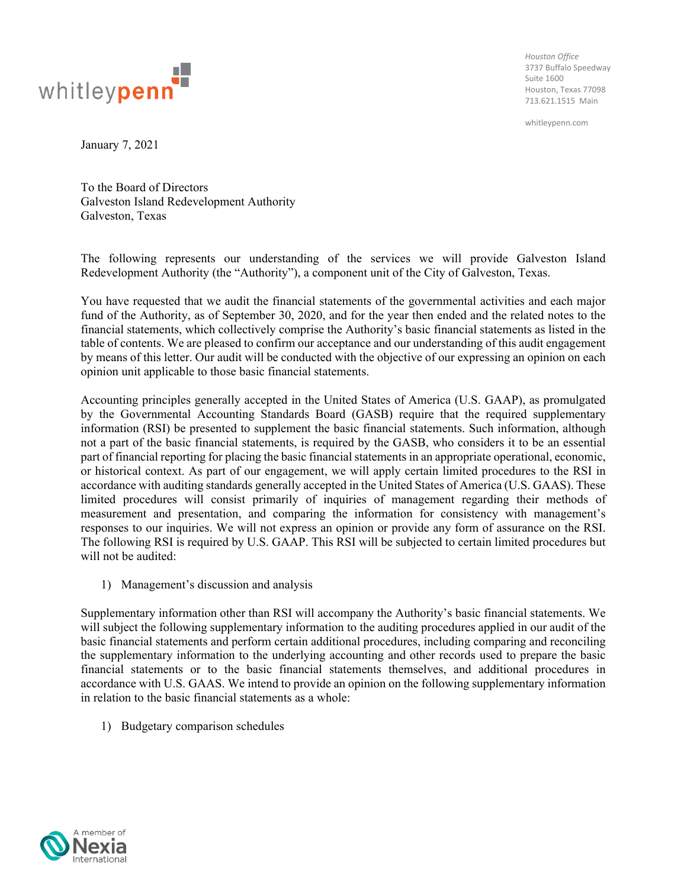

*Houston Office* 3737 Buffalo Speedway Suite 1600 Houston, Texas 77098 713.621.1515 Main

whitleypenn.com

January 7, 2021

To the Board of Directors Galveston Island Redevelopment Authority Galveston, Texas

The following represents our understanding of the services we will provide Galveston Island Redevelopment Authority (the "Authority"), a component unit of the City of Galveston, Texas.

You have requested that we audit the financial statements of the governmental activities and each major fund of the Authority, as of September 30, 2020, and for the year then ended and the related notes to the financial statements, which collectively comprise the Authority's basic financial statements as listed in the table of contents. We are pleased to confirm our acceptance and our understanding of this audit engagement by means of this letter. Our audit will be conducted with the objective of our expressing an opinion on each opinion unit applicable to those basic financial statements.

Accounting principles generally accepted in the United States of America (U.S. GAAP), as promulgated by the Governmental Accounting Standards Board (GASB) require that the required supplementary information (RSI) be presented to supplement the basic financial statements. Such information, although not a part of the basic financial statements, is required by the GASB, who considers it to be an essential part of financial reporting for placing the basic financial statements in an appropriate operational, economic, or historical context. As part of our engagement, we will apply certain limited procedures to the RSI in accordance with auditing standards generally accepted in the United States of America (U.S. GAAS). These limited procedures will consist primarily of inquiries of management regarding their methods of measurement and presentation, and comparing the information for consistency with management's responses to our inquiries. We will not express an opinion or provide any form of assurance on the RSI. The following RSI is required by U.S. GAAP. This RSI will be subjected to certain limited procedures but will not be audited:

1) Management's discussion and analysis

Supplementary information other than RSI will accompany the Authority's basic financial statements. We will subject the following supplementary information to the auditing procedures applied in our audit of the basic financial statements and perform certain additional procedures, including comparing and reconciling the supplementary information to the underlying accounting and other records used to prepare the basic financial statements or to the basic financial statements themselves, and additional procedures in accordance with U.S. GAAS. We intend to provide an opinion on the following supplementary information in relation to the basic financial statements as a whole:

1) Budgetary comparison schedules

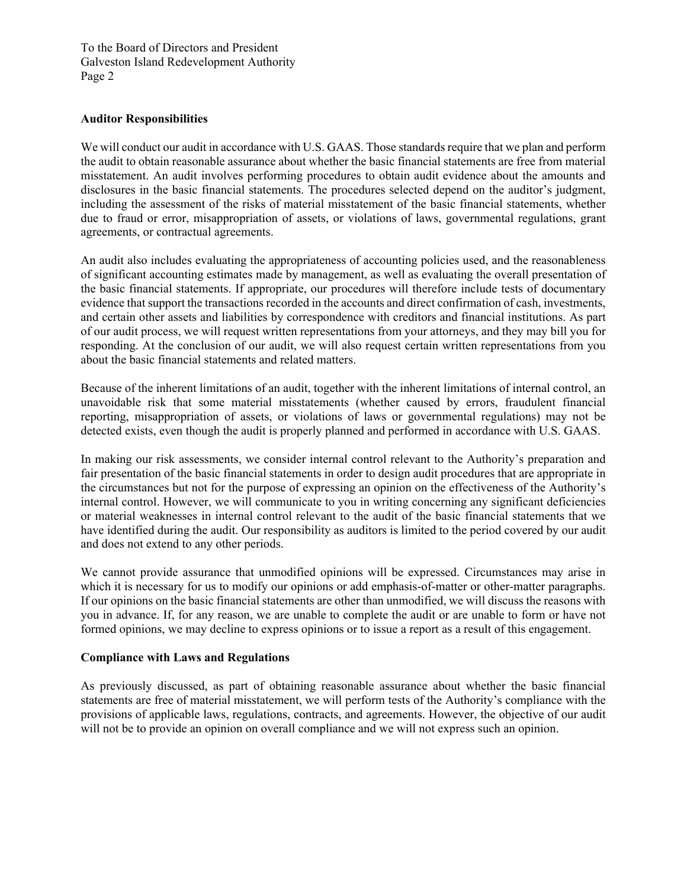### **Auditor Responsibilities**

We will conduct our audit in accordance with U.S. GAAS. Those standards require that we plan and perform the audit to obtain reasonable assurance about whether the basic financial statements are free from material misstatement. An audit involves performing procedures to obtain audit evidence about the amounts and disclosures in the basic financial statements. The procedures selected depend on the auditor's judgment, including the assessment of the risks of material misstatement of the basic financial statements, whether due to fraud or error, misappropriation of assets, or violations of laws, governmental regulations, grant agreements, or contractual agreements.

An audit also includes evaluating the appropriateness of accounting policies used, and the reasonableness of significant accounting estimates made by management, as well as evaluating the overall presentation of the basic financial statements. If appropriate, our procedures will therefore include tests of documentary evidence that support the transactions recorded in the accounts and direct confirmation of cash, investments, and certain other assets and liabilities by correspondence with creditors and financial institutions. As part of our audit process, we will request written representations from your attorneys, and they may bill you for responding. At the conclusion of our audit, we will also request certain written representations from you about the basic financial statements and related matters.

Because of the inherent limitations of an audit, together with the inherent limitations of internal control, an unavoidable risk that some material misstatements (whether caused by errors, fraudulent financial reporting, misappropriation of assets, or violations of laws or governmental regulations) may not be detected exists, even though the audit is properly planned and performed in accordance with U.S. GAAS.

In making our risk assessments, we consider internal control relevant to the Authority's preparation and fair presentation of the basic financial statements in order to design audit procedures that are appropriate in the circumstances but not for the purpose of expressing an opinion on the effectiveness of the Authority's internal control. However, we will communicate to you in writing concerning any significant deficiencies or material weaknesses in internal control relevant to the audit of the basic financial statements that we have identified during the audit. Our responsibility as auditors is limited to the period covered by our audit and does not extend to any other periods.

We cannot provide assurance that unmodified opinions will be expressed. Circumstances may arise in which it is necessary for us to modify our opinions or add emphasis-of-matter or other-matter paragraphs. If our opinions on the basic financial statements are other than unmodified, we will discuss the reasons with you in advance. If, for any reason, we are unable to complete the audit or are unable to form or have not formed opinions, we may decline to express opinions or to issue a report as a result of this engagement.

# **Compliance with Laws and Regulations**

As previously discussed, as part of obtaining reasonable assurance about whether the basic financial statements are free of material misstatement, we will perform tests of the Authority's compliance with the provisions of applicable laws, regulations, contracts, and agreements. However, the objective of our audit will not be to provide an opinion on overall compliance and we will not express such an opinion.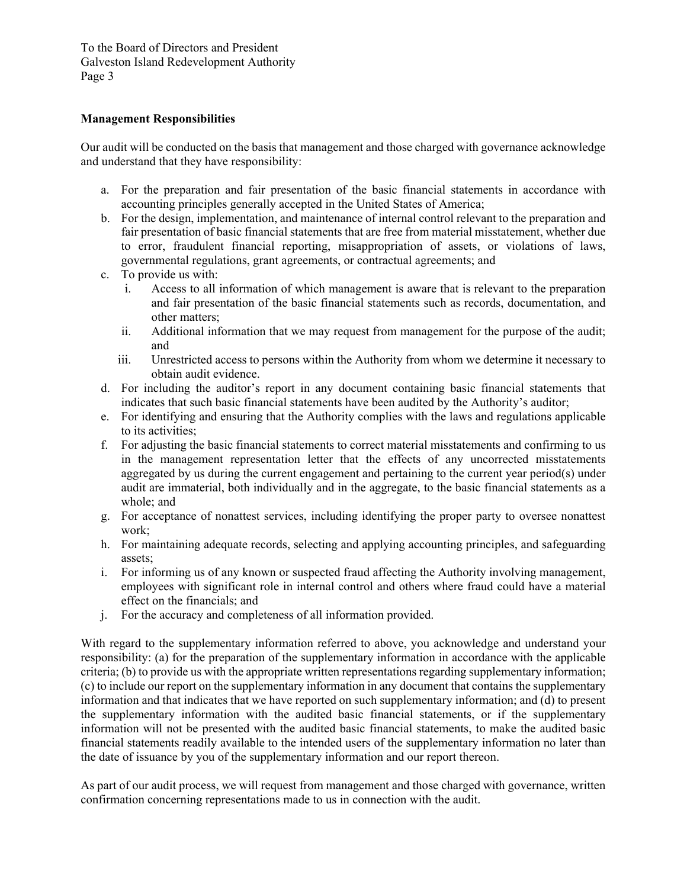## **Management Responsibilities**

Our audit will be conducted on the basis that management and those charged with governance acknowledge and understand that they have responsibility:

- a. For the preparation and fair presentation of the basic financial statements in accordance with accounting principles generally accepted in the United States of America;
- b. For the design, implementation, and maintenance of internal control relevant to the preparation and fair presentation of basic financial statements that are free from material misstatement, whether due to error, fraudulent financial reporting, misappropriation of assets, or violations of laws, governmental regulations, grant agreements, or contractual agreements; and
- c. To provide us with:
	- i. Access to all information of which management is aware that is relevant to the preparation and fair presentation of the basic financial statements such as records, documentation, and other matters;
	- ii. Additional information that we may request from management for the purpose of the audit; and
	- iii. Unrestricted access to persons within the Authority from whom we determine it necessary to obtain audit evidence.
- d. For including the auditor's report in any document containing basic financial statements that indicates that such basic financial statements have been audited by the Authority's auditor;
- e. For identifying and ensuring that the Authority complies with the laws and regulations applicable to its activities;
- f. For adjusting the basic financial statements to correct material misstatements and confirming to us in the management representation letter that the effects of any uncorrected misstatements aggregated by us during the current engagement and pertaining to the current year period(s) under audit are immaterial, both individually and in the aggregate, to the basic financial statements as a whole; and
- g. For acceptance of nonattest services, including identifying the proper party to oversee nonattest work;
- h. For maintaining adequate records, selecting and applying accounting principles, and safeguarding assets;
- i. For informing us of any known or suspected fraud affecting the Authority involving management, employees with significant role in internal control and others where fraud could have a material effect on the financials; and
- j. For the accuracy and completeness of all information provided.

With regard to the supplementary information referred to above, you acknowledge and understand your responsibility: (a) for the preparation of the supplementary information in accordance with the applicable criteria; (b) to provide us with the appropriate written representations regarding supplementary information; (c) to include our report on the supplementary information in any document that contains the supplementary information and that indicates that we have reported on such supplementary information; and (d) to present the supplementary information with the audited basic financial statements, or if the supplementary information will not be presented with the audited basic financial statements, to make the audited basic financial statements readily available to the intended users of the supplementary information no later than the date of issuance by you of the supplementary information and our report thereon.

As part of our audit process, we will request from management and those charged with governance, written confirmation concerning representations made to us in connection with the audit.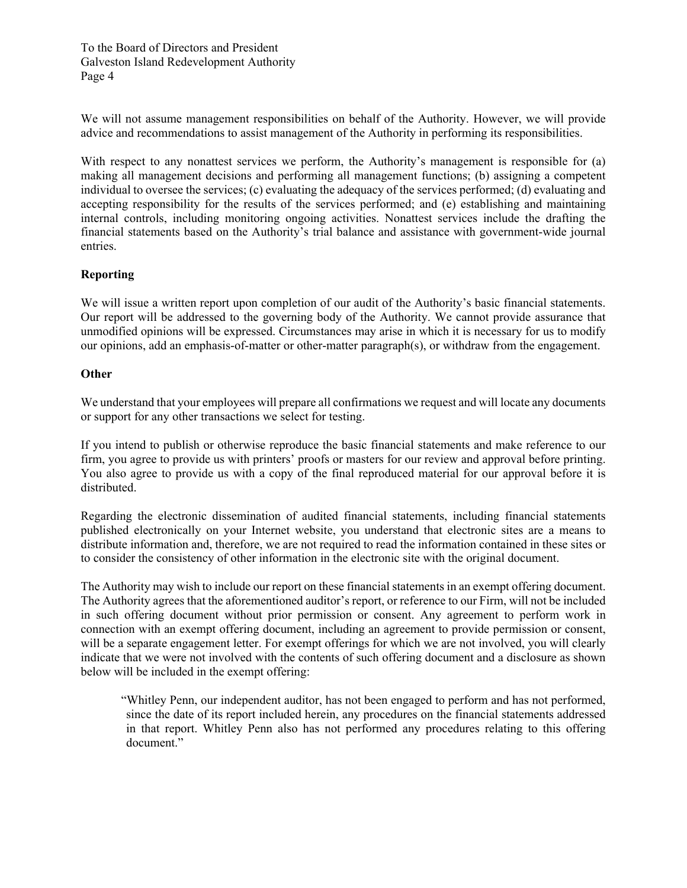We will not assume management responsibilities on behalf of the Authority. However, we will provide advice and recommendations to assist management of the Authority in performing its responsibilities.

With respect to any nonattest services we perform, the Authority's management is responsible for (a) making all management decisions and performing all management functions; (b) assigning a competent individual to oversee the services; (c) evaluating the adequacy of the services performed; (d) evaluating and accepting responsibility for the results of the services performed; and (e) establishing and maintaining internal controls, including monitoring ongoing activities. Nonattest services include the drafting the financial statements based on the Authority's trial balance and assistance with government-wide journal entries.

# **Reporting**

We will issue a written report upon completion of our audit of the Authority's basic financial statements. Our report will be addressed to the governing body of the Authority. We cannot provide assurance that unmodified opinions will be expressed. Circumstances may arise in which it is necessary for us to modify our opinions, add an emphasis-of-matter or other-matter paragraph(s), or withdraw from the engagement.

#### **Other**

We understand that your employees will prepare all confirmations we request and will locate any documents or support for any other transactions we select for testing.

If you intend to publish or otherwise reproduce the basic financial statements and make reference to our firm, you agree to provide us with printers' proofs or masters for our review and approval before printing. You also agree to provide us with a copy of the final reproduced material for our approval before it is distributed.

Regarding the electronic dissemination of audited financial statements, including financial statements published electronically on your Internet website, you understand that electronic sites are a means to distribute information and, therefore, we are not required to read the information contained in these sites or to consider the consistency of other information in the electronic site with the original document.

The Authority may wish to include our report on these financial statements in an exempt offering document. The Authority agrees that the aforementioned auditor's report, or reference to our Firm, will not be included in such offering document without prior permission or consent. Any agreement to perform work in connection with an exempt offering document, including an agreement to provide permission or consent, will be a separate engagement letter. For exempt offerings for which we are not involved, you will clearly indicate that we were not involved with the contents of such offering document and a disclosure as shown below will be included in the exempt offering:

"Whitley Penn, our independent auditor, has not been engaged to perform and has not performed, since the date of its report included herein, any procedures on the financial statements addressed in that report. Whitley Penn also has not performed any procedures relating to this offering document."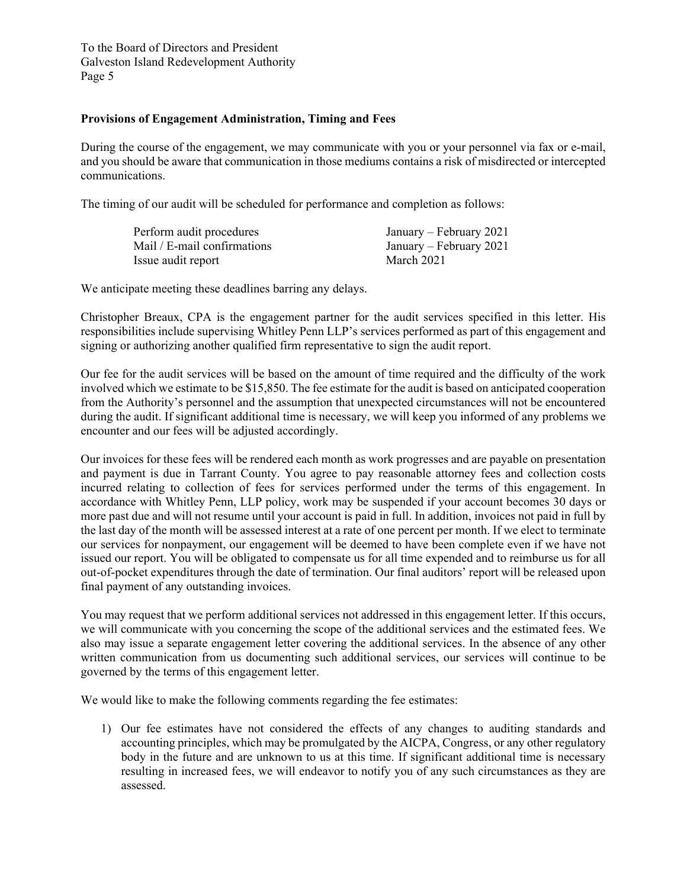### **Provisions of Engagement Administration, Timing and Fees**

During the course of the engagement, we may communicate with you or your personnel via fax or e-mail, and you should be aware that communication in those mediums contains a risk of misdirected or intercepted communications.

The timing of our audit will be scheduled for performance and completion as follows:

| Perform audit procedures    | January – February 2021 |
|-----------------------------|-------------------------|
| Mail / E-mail confirmations | January – February 2021 |
| Issue audit report          | March 2021              |

We anticipate meeting these deadlines barring any delays.

Christopher Breaux, CPA is the engagement partner for the audit services specified in this letter. His responsibilities include supervising Whitley Penn LLP's services performed as part of this engagement and signing or authorizing another qualified firm representative to sign the audit report.

Our fee for the audit services will be based on the amount of time required and the difficulty of the work involved which we estimate to be \$15,850. The fee estimate for the audit is based on anticipated cooperation from the Authority's personnel and the assumption that unexpected circumstances will not be encountered during the audit. If significant additional time is necessary, we will keep you informed of any problems we encounter and our fees will be adjusted accordingly.

Our invoices for these fees will be rendered each month as work progresses and are payable on presentation and payment is due in Tarrant County. You agree to pay reasonable attorney fees and collection costs incurred relating to collection of fees for services performed under the terms of this engagement. In accordance with Whitley Penn, LLP policy, work may be suspended if your account becomes 30 days or more past due and will not resume until your account is paid in full. In addition, invoices not paid in full by the last day of the month will be assessed interest at a rate of one percent per month. If we elect to terminate our services for nonpayment, our engagement will be deemed to have been complete even if we have not issued our report. You will be obligated to compensate us for all time expended and to reimburse us for all out-of-pocket expenditures through the date of termination. Our final auditors' report will be released upon final payment of any outstanding invoices.

You may request that we perform additional services not addressed in this engagement letter. If this occurs, we will communicate with you concerning the scope of the additional services and the estimated fees. We also may issue a separate engagement letter covering the additional services. In the absence of any other written communication from us documenting such additional services, our services will continue to be governed by the terms of this engagement letter.

We would like to make the following comments regarding the fee estimates:

1) Our fee estimates have not considered the effects of any changes to auditing standards and accounting principles, which may be promulgated by the AICPA, Congress, or any other regulatory body in the future and are unknown to us at this time. If significant additional time is necessary resulting in increased fees, we will endeavor to notify you of any such circumstances as they are assessed.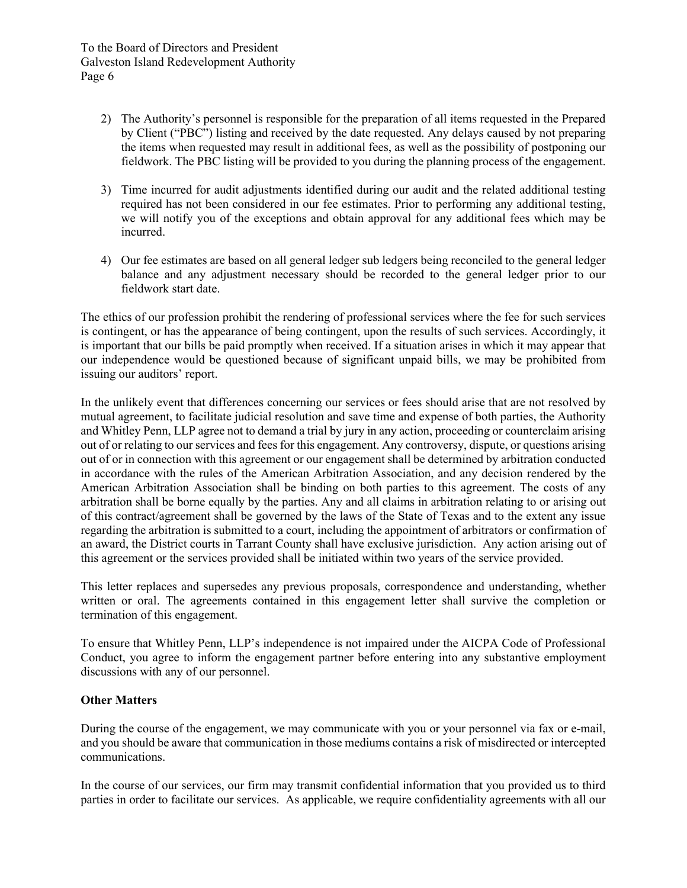- 2) The Authority's personnel is responsible for the preparation of all items requested in the Prepared by Client ("PBC") listing and received by the date requested. Any delays caused by not preparing the items when requested may result in additional fees, as well as the possibility of postponing our fieldwork. The PBC listing will be provided to you during the planning process of the engagement.
- 3) Time incurred for audit adjustments identified during our audit and the related additional testing required has not been considered in our fee estimates. Prior to performing any additional testing, we will notify you of the exceptions and obtain approval for any additional fees which may be incurred.
- 4) Our fee estimates are based on all general ledger sub ledgers being reconciled to the general ledger balance and any adjustment necessary should be recorded to the general ledger prior to our fieldwork start date.

The ethics of our profession prohibit the rendering of professional services where the fee for such services is contingent, or has the appearance of being contingent, upon the results of such services. Accordingly, it is important that our bills be paid promptly when received. If a situation arises in which it may appear that our independence would be questioned because of significant unpaid bills, we may be prohibited from issuing our auditors' report.

In the unlikely event that differences concerning our services or fees should arise that are not resolved by mutual agreement, to facilitate judicial resolution and save time and expense of both parties, the Authority and Whitley Penn, LLP agree not to demand a trial by jury in any action, proceeding or counterclaim arising out of or relating to our services and fees for this engagement. Any controversy, dispute, or questions arising out of or in connection with this agreement or our engagement shall be determined by arbitration conducted in accordance with the rules of the American Arbitration Association, and any decision rendered by the American Arbitration Association shall be binding on both parties to this agreement. The costs of any arbitration shall be borne equally by the parties. Any and all claims in arbitration relating to or arising out of this contract/agreement shall be governed by the laws of the State of Texas and to the extent any issue regarding the arbitration is submitted to a court, including the appointment of arbitrators or confirmation of an award, the District courts in Tarrant County shall have exclusive jurisdiction. Any action arising out of this agreement or the services provided shall be initiated within two years of the service provided.

This letter replaces and supersedes any previous proposals, correspondence and understanding, whether written or oral. The agreements contained in this engagement letter shall survive the completion or termination of this engagement.

To ensure that Whitley Penn, LLP's independence is not impaired under the AICPA Code of Professional Conduct, you agree to inform the engagement partner before entering into any substantive employment discussions with any of our personnel.

# **Other Matters**

During the course of the engagement, we may communicate with you or your personnel via fax or e-mail, and you should be aware that communication in those mediums contains a risk of misdirected or intercepted communications.

In the course of our services, our firm may transmit confidential information that you provided us to third parties in order to facilitate our services. As applicable, we require confidentiality agreements with all our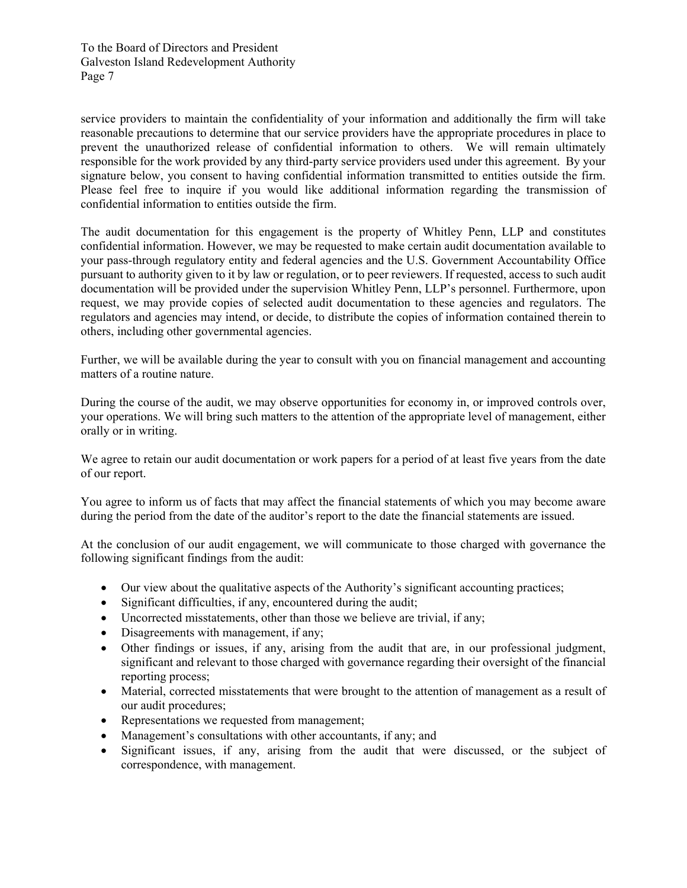service providers to maintain the confidentiality of your information and additionally the firm will take reasonable precautions to determine that our service providers have the appropriate procedures in place to prevent the unauthorized release of confidential information to others. We will remain ultimately responsible for the work provided by any third-party service providers used under this agreement. By your signature below, you consent to having confidential information transmitted to entities outside the firm. Please feel free to inquire if you would like additional information regarding the transmission of confidential information to entities outside the firm.

The audit documentation for this engagement is the property of Whitley Penn, LLP and constitutes confidential information. However, we may be requested to make certain audit documentation available to your pass-through regulatory entity and federal agencies and the U.S. Government Accountability Office pursuant to authority given to it by law or regulation, or to peer reviewers. If requested, access to such audit documentation will be provided under the supervision Whitley Penn, LLP's personnel. Furthermore, upon request, we may provide copies of selected audit documentation to these agencies and regulators. The regulators and agencies may intend, or decide, to distribute the copies of information contained therein to others, including other governmental agencies.

Further, we will be available during the year to consult with you on financial management and accounting matters of a routine nature.

During the course of the audit, we may observe opportunities for economy in, or improved controls over, your operations. We will bring such matters to the attention of the appropriate level of management, either orally or in writing.

We agree to retain our audit documentation or work papers for a period of at least five years from the date of our report.

You agree to inform us of facts that may affect the financial statements of which you may become aware during the period from the date of the auditor's report to the date the financial statements are issued.

At the conclusion of our audit engagement, we will communicate to those charged with governance the following significant findings from the audit:

- Our view about the qualitative aspects of the Authority's significant accounting practices;
- Significant difficulties, if any, encountered during the audit;
- Uncorrected misstatements, other than those we believe are trivial, if any;
- Disagreements with management, if any;
- Other findings or issues, if any, arising from the audit that are, in our professional judgment, significant and relevant to those charged with governance regarding their oversight of the financial reporting process;
- Material, corrected misstatements that were brought to the attention of management as a result of our audit procedures;
- Representations we requested from management;
- Management's consultations with other accountants, if any; and
- Significant issues, if any, arising from the audit that were discussed, or the subject of correspondence, with management.